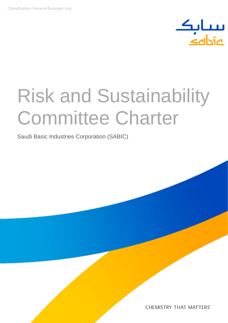

# Risk and Sustainability Committee Charter

Saudi Basic Industries Corporation (SABIC)

**CHEMISTRY THAT MATTERS®**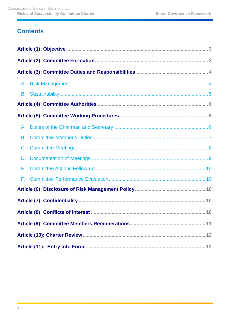## **Contents**

| А.             |  |
|----------------|--|
| В.             |  |
| $\mathbf{C}$ . |  |
| D.             |  |
| Е.             |  |
| F.             |  |
|                |  |
|                |  |
|                |  |
|                |  |
|                |  |
|                |  |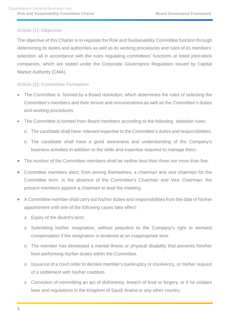## <span id="page-2-0"></span>**Article (1): Objective**

The objective of this Charter is to regulate the Risk and Sustainability Committee function through determining its duties and authorities as well as its working procedures and rules of its members' selection; all in accordance with the rules regulating committees' functions at listed joint-stock companies, which are stated under the Corporate Governance Regulation issued by Capital Market Authority (CMA).

## <span id="page-2-1"></span>**Article (2): Committee Formation**

- The Committee is formed by a Board resolution, which determines the rules of selecting the Committee's members and their tenure and remunerations as well as the Committee's duties and working procedures.
- The Committee is formed from Board members according to the following selection rules:
	- o The candidate shall have relevant expertise to the Committee's duties and responsibilities.
	- o The candidate shall have a good awareness and understanding of the Company's business activities in addition to the skills and expertise required to manage them.
- The number of the Committee members shall be neither less than three nor more than five.
- Committee members elect, from among themselves, a chairman and vice chairman for the Committee term. In the absence of the Committee's Chairman and Vice Chairman, the present members appoint a chairman to lead the meeting.
- A Committee member shall carry out his/her duties and responsibilities from the date of his/her appointment until one of the following cases take effect:
	- o Expiry of the Board's term.
	- o Submitting his/her resignation, without prejudice to the Company's right to demand compensation if the resignation is tendered at an inappropriate time.
	- o The member has developed a mental illness or physical disability that prevents him/her from performing his/her duties within the Committee.
	- o Issuance of a court order to declare member's bankruptcy or insolvency, or his/her request of a settlement with his/her creditors.
	- o Conviction of committing an act of dishonesty, breach of trust or forgery; or if he violates laws and regulations in the Kingdom of Saudi Arabia or any other country.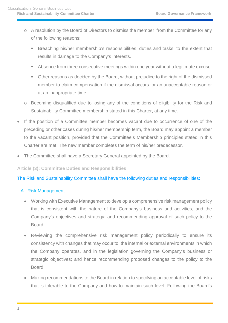- o A resolution by the Board of Directors to dismiss the member from the Committee for any of the following reasons:
	- Breaching his/her membership's responsibilities, duties and tasks, to the extent that results in damage to the Company's interests.
	- Absence from three consecutive meetings within one year without a legitimate excuse.
	- Other reasons as decided by the Board, without prejudice to the right of the dismissed member to claim compensation if the dismissal occurs for an unacceptable reason or at an inappropriate time.
- o Becoming disqualified due to losing any of the conditions of eligibility for the Risk and Sustainability Committee membership stated in this Charter, at any time.
- If the position of a Committee member becomes vacant due to occurrence of one of the preceding or other cases during his/her membership term, the Board may appoint a member to the vacant position, provided that the Committee's Membership principles stated in this Charter are met. The new member completes the term of his/her predecessor.
- The Committee shall have a Secretary General appointed by the Board.

<span id="page-3-0"></span>**Article (3): Committee Duties and Responsibilities**

The Risk and Sustainability Committee shall have the following duties and responsibilities:

## <span id="page-3-1"></span>A. Risk Management

- Working with Executive Management to develop a comprehensive risk management policy that is consistent with the nature of the Company's business and activities, and the Company's objectives and strategy; and recommending approval of such policy to the Board.
- Reviewing the comprehensive risk management policy periodically to ensure its consistency with changes that may occur to: the internal or external environments in which the Company operates, and in the legislation governing the Company's business or strategic objectives; and hence recommending proposed changes to the policy to the Board.
- Making recommendations to the Board in relation to specifying an acceptable level of risks that is tolerable to the Company and how to maintain such level. Following the Board's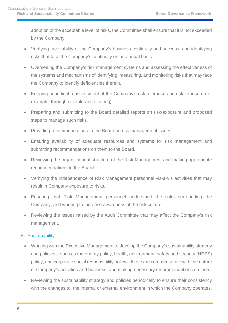adoption of the acceptable level of risks, the Committee shall ensure that it is not exceeded by the Company.

- Verifying the viability of the Company's business continuity and success; and identifying risks that face the Company's continuity on an annual basis.
- Overseeing the Company's risk management systems and assessing the effectiveness of the systems and mechanisms of identifying, measuring, and monitoring risks that may face the Company to identify deficiencies therein.
- Keeping periodical reassessment of the Company's risk tolerance and risk exposure (for example, through risk tolerance testing).
- Preparing and submitting to the Board detailed reports on risk-exposure and proposed steps to manage such risks.
- Providing recommendations to the Board on risk management issues.
- Ensuring availability of adequate resources and systems for risk management and submitting recommendations on them to the Board.
- Reviewing the organizational structure of the Risk Management and making appropriate recommendations to the Board.
- Verifying the independence of Risk Management personnel vis-à-vis activities that may result in Company exposure to risks.
- Ensuring that Risk Management personnel understand the risks surrounding the Company, and working to increase awareness of the risk culture.
- Reviewing the issues raised by the Audit Committee that may affect the Company's risk management.

## <span id="page-4-0"></span>B. Sustainability

- Working with the Executive Management to develop the Company's sustainability strategy and policies – such as the energy policy, health, environment, safety and security (HESS) policy, and corporate social responsibility policy – those are commensurate with the nature of Company's activities and business; and making necessary recommendations on them.
- Reviewing the sustainability strategy and policies periodically to ensure their consistency with the changes to: the internal or external environment in which the Company operates,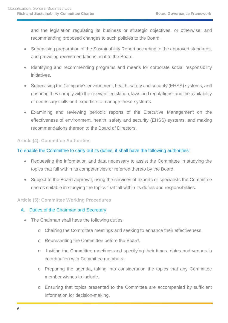and the legislation regulating its business or strategic objectives, or otherwise; and recommending proposed changes to such policies to the Board.

- Supervising preparation of the Sustainability Report according to the approved standards, and providing recommendations on it to the Board.
- Identifying and recommending programs and means for corporate social responsibility initiatives.
- Supervising the Company's environment, health, safety and security (EHSS) systems, and ensuring they comply with the relevant legislation, laws and regulations; and the availability of necessary skills and expertise to manage these systems.
- Examining and reviewing periodic reports of the Executive Management on the effectiveness of environment, health, safety and security (EHSS) systems, and making recommendations thereon to the Board of Directors.

## <span id="page-5-0"></span>**Article (4): Committee Authorities**

## To enable the Committee to carry out its duties, it shall have the following authorities:

- Requesting the information and data necessary to assist the Committee in studying the topics that fall within its competencies or referred thereto by the Board.
- Subject to the Board approval, using the services of experts or specialists the Committee deems suitable in studying the topics that fall within its duties and responsibilities.

## <span id="page-5-1"></span>**Article (5): Committee Working Procedures**

## <span id="page-5-2"></span>A. Duties of the Chairman and Secretary

- The Chairman shall have the following duties:
	- o Chairing the Committee meetings and seeking to enhance their effectiveness.
	- o Representing the Committee before the Board.
	- o Inviting the Committee meetings and specifying their times, dates and venues in coordination with Committee members.
	- o Preparing the agenda, taking into consideration the topics that any Committee member wishes to include.
	- o Ensuring that topics presented to the Committee are accompanied by sufficient information for decision-making.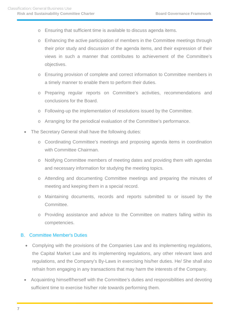- o Ensuring that sufficient time is available to discuss agenda items.
- o Enhancing the active participation of members in the Committee meetings through their prior study and discussion of the agenda items, and their expression of their views in such a manner that contributes to achievement of the Committee's objectives.
- o Ensuring provision of complete and correct information to Committee members in a timely manner to enable them to perform their duties.
- o Preparing regular reports on Committee's activities, recommendations and conclusions for the Board.
- o Following-up the implementation of resolutions issued by the Committee.
- o Arranging for the periodical evaluation of the Committee's performance.
- The Secretary General shall have the following duties:
	- o Coordinating Committee's meetings and proposing agenda items in coordination with Committee Chairman.
	- o Notifying Committee members of meeting dates and providing them with agendas and necessary information for studying the meeting topics.
	- o Attending and documenting Committee meetings and preparing the minutes of meeting and keeping them in a special record.
	- o Maintaining documents, records and reports submitted to or issued by the Committee.
	- o Providing assistance and advice to the Committee on matters falling within its competencies.

## <span id="page-6-0"></span>B. Committee Member's Duties

- Complying with the provisions of the Companies Law and its implementing regulations, the Capital Market Law and its implementing regulations, any other relevant laws and regulations, and the Company's By-Laws in exercising his/her duties. He/ She shall also refrain from engaging in any transactions that may harm the interests of the Company.
- Acquainting himself/herself with the Committee's duties and responsibilities and devoting sufficient time to exercise his/her role towards performing them.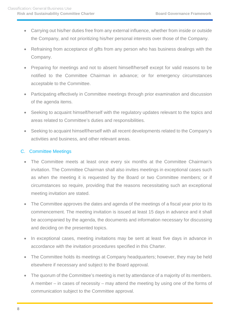- Carrying out his/her duties free from any external influence, whether from inside or outside the Company, and not prioritizing his/her personal interests over those of the Company.
- Refraining from acceptance of gifts from any person who has business dealings with the Company.
- Preparing for meetings and not to absent himself/herself except for valid reasons to be notified to the Committee Chairman in advance; or for emergency circumstances acceptable to the Committee.
- Participating effectively in Committee meetings through prior examination and discussion of the agenda items.
- Seeking to acquaint himself/herself with the regulatory updates relevant to the topics and areas related to Committee's duties and responsibilities.
- Seeking to acquaint himself/herself with all recent developments related to the Company's activities and business, and other relevant areas.

## <span id="page-7-0"></span>C. Committee Meetings

- The Committee meets at least once every six months at the Committee Chairman's invitation. The Committee Chairman shall also invites meetings in exceptional cases such as when the meeting it is requested by the Board or two Committee members; or if circumstances so require, providing that the reasons necessitating such an exceptional meeting invitation are stated.
- The Committee approves the dates and agenda of the meetings of a fiscal year prior to its commencement. The meeting invitation is issued at least 15 days in advance and it shall be accompanied by the agenda, the documents and information necessary for discussing and deciding on the presented topics.
- In exceptional cases, meeting invitations may be sent at least five days in advance in accordance with the invitation procedures specified in this Charter.
- The Committee holds its meetings at Company headquarters; however, they may be held elsewhere if necessary and subject to the Board approval.
- The quorum of the Committee's meeting is met by attendance of a majority of its members. A member – in cases of necessity – may attend the meeting by using one of the forms of communication subject to the Committee approval.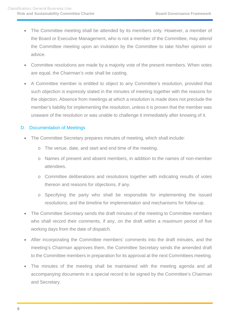- The Committee meeting shall be attended by its members only. However, a member of the Board or Executive Management, who is not a member of the Committee, may attend the Committee meeting upon an invitation by the Committee to take his/her opinion or advice.
- Committee resolutions are made by a majority vote of the present members. When votes are equal, the Chairman's vote shall be casting.
- A Committee member is entitled to object to any Committee's resolution, provided that such objection is expressly stated in the minutes of meeting together with the reasons for the objection. Absence from meetings at which a resolution is made does not preclude the member's liability for implementing the resolution, unless it is proven that the member was unaware of the resolution or was unable to challenge it immediately after knowing of it.

## <span id="page-8-0"></span>D. Documentation of Meetings

- The Committee Secretary prepares minutes of meeting, which shall include:
	- o The venue, date, and start and end time of the meeting.
	- o Names of present and absent members, in addition to the names of non-member attendees.
	- o Committee deliberations and resolutions together with indicating results of votes thereon and reasons for objections, if any.
	- o Specifying the party who shall be responsible for implementing the issued resolutions; and the timeline for implementation and mechanisms for follow-up.
- The Committee Secretary sends the draft minutes of the meeting to Committee members who shall record their comments, if any, on the draft within a maximum period of five working days from the date of dispatch.
- After incorporating the Committee members' comments into the draft minutes, and the meeting's Chairman approves them, the Committee Secretary sends the amended draft to the Committee members in preparation for its approval at the next Committees meeting.
- The minutes of the meeting shall be maintained with the meeting agenda and all accompanying documents in a special record to be signed by the Committee's Chairman and Secretary.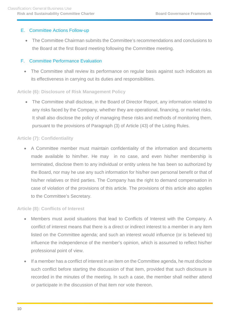## <span id="page-9-0"></span>E. Committee Actions Follow-up

• The Committee Chairman submits the Committee's recommendations and conclusions to the Board at the first Board meeting following the Committee meeting.

## <span id="page-9-1"></span>F. Committee Performance Evaluation

• The Committee shall review its performance on regular basis against such indicators as its effectiveness in carrying out its duties and responsibilities.

## <span id="page-9-2"></span>**Article (6): Disclosure of Risk Management Policy**

• The Committee shall disclose, in the Board of Director Report, any information related to any risks faced by the Company, whether they are operational, financing, or market risks. It shall also disclose the policy of managing these risks and methods of monitoring them, pursuant to the provisions of Paragraph (3) of Article (43) of the Listing Rules.

## <span id="page-9-3"></span>**Article (7): Confidentiality**

• A Committee member must maintain confidentiality of the information and documents made available to him/her. He may in no case, and even his/her membership is terminated, disclose them to any individual or entity unless he has been so authorized by the Board, nor may he use any such information for his/her own personal benefit or that of his/her relatives or third parties. The Company has the right to demand compensation in case of violation of the provisions of this article. The provisions of this article also applies to the Committee's Secretary.

## <span id="page-9-4"></span>**Article (8): Conflicts of Interest**

- Members must avoid situations that lead to Conflicts of Interest with the Company. A conflict of interest means that there is a direct or indirect interest to a member in any item listed on the Committee agenda; and such an interest would influence (or is believed to) influence the independence of the member's opinion, which is assumed to reflect his/her professional point of view.
- If a member has a conflict of interest in an item on the Committee agenda, he must disclose such conflict before starting the discussion of that item, provided that such disclosure is recorded in the minutes of the meeting. In such a case, the member shall neither attend or participate in the discussion of that item nor vote thereon.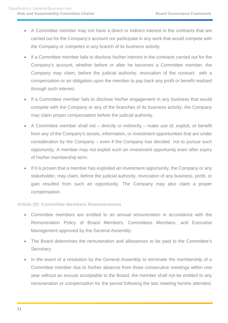- A Committee member may not have a direct or indirect interest in the contracts that are carried out for the Company's account nor participate in any work that would compete with the Company or competes in any branch of its business activity.
- If a Committee member fails to disclose his/her interest in the contracts carried out for the Company's account, whether before or after he becomes a Committee member, the Company may claim, before the judicial authority, revocation of the contract with a compensation or an obligation upon the member to pay back any profit or benefit realized through such interest.
- If a Committee member fails to disclose his/her engagement in any business that would compete with the Company or any of the branches of its business activity, the Company may claim proper compensation before the judicial authority.
- A Committee member shall not directly or indirectly make use of, exploit, or benefit from any of the Company's assets, information, or investment opportunities that are under consideration by the Company – even if the Company has decided not to pursue such opportunity. A member may not exploit such an investment opportunity even after expiry of his/her membership term.
- If it is proven that a member has exploited an investment opportunity, the Company or any stakeholder, may claim, before the judicial authority, revocation of any business, profit, or gain resulted from such an opportunity. The Company may also claim a proper compensation.

## <span id="page-10-0"></span>**Article (9): Committee Members Remunerations**

- Committee members are entitled to an annual remuneration in accordance with the Remuneration Policy of Board Members, Committees Members, and Executive Management approved by the General Assembly.
- The Board determines the remuneration and allowances to be paid to the Committee's Secretary.
- In the event of a resolution by the General Assembly to terminate the membership of a Committee member due to his/her absence from three consecutive meetings within one year without an excuse acceptable to the Board, the member shall not be entitled to any remuneration or compensation for the period following the last meeting he/she attended.